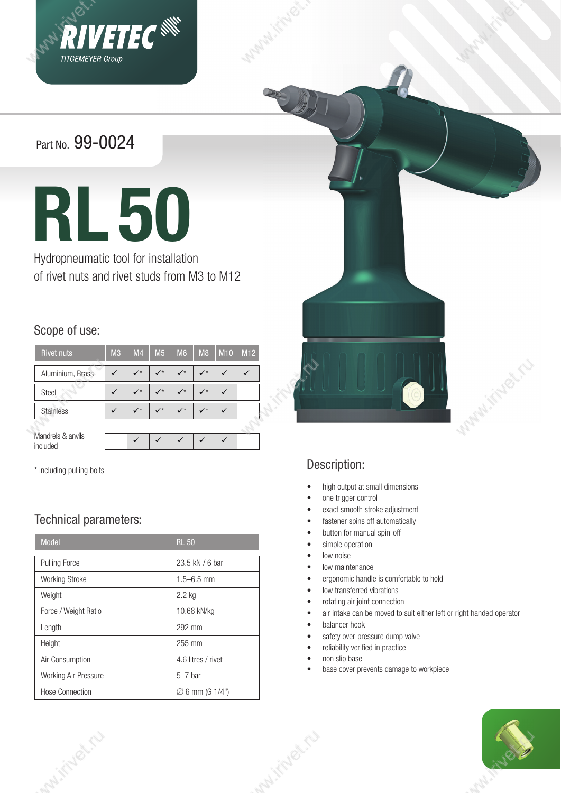

Part No. 99-0024



Hydropneumatic tool for installation of rivet nuts and rivet studs from M3 to M12

#### Scope of use:

| <b>Rivet nuts</b>             | M <sub>3</sub> | M <sub>4</sub> | M <sub>5</sub> | M <sub>6</sub> | M8           | M <sub>10</sub> | M <sub>12</sub> |
|-------------------------------|----------------|----------------|----------------|----------------|--------------|-----------------|-----------------|
| Aluminium, Brass              |                | $\sqrt{ }$     | $\sqrt{ }$     | $\checkmark$   | $\checkmark$ |                 |                 |
| Steel                         |                | $\sqrt{ }$     | $\checkmark$   | $\checkmark$   | $\sqrt{*}$   |                 |                 |
| <b>Stainless</b>              |                | $\checkmark$   | $\checkmark$   | $\checkmark$   | $\checkmark$ |                 |                 |
|                               |                |                |                |                |              |                 |                 |
| Mandrels & anvils<br>included |                |                |                |                |              |                 |                 |

\* including pulling bolts

Malitiuge.ru

### Technical parameters:

| <b>Model</b>                | <b>RL 50</b>                |  |
|-----------------------------|-----------------------------|--|
| <b>Pulling Force</b>        | 23.5 kN / 6 bar             |  |
| <b>Working Stroke</b>       | $1.5 - 6.5$ mm              |  |
| Weight                      | 2.2 kg                      |  |
| Force / Weight Ratio        | 10.68 kN/kg                 |  |
| Length                      | 292 mm                      |  |
| Height                      | 255 mm                      |  |
| Air Consumption             | 4.6 litres / rivet          |  |
| <b>Working Air Pressure</b> | $5-7$ bar                   |  |
| <b>Hose Connection</b>      | $\varnothing$ 6 mm (G 1/4") |  |



### Description:

- high output at small dimensions
- one trigger control
- exact smooth stroke adjustment
- fastener spins off automatically
- button for manual spin-off
- simple operation
- low noise
- low maintenance
- ergonomic handle is comfortable to hold
- low transferred vibrations
- rotating air joint connection
- air intake can be moved to suit either left or right handed operator
- balancer hook
- safety over-pressure dump valve
- reliability verified in practice
- non slip base

whitive to

• base cover prevents damage to workpiece